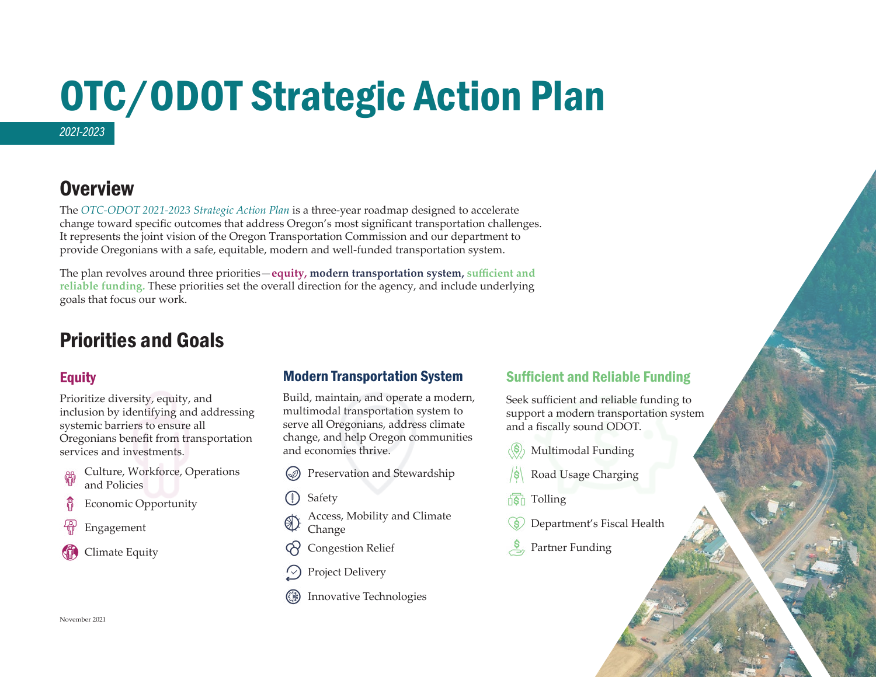# OTC/ODOT Strategic Action Plan *2021-2023*

### **Overview**

The *[OTC-ODOT 2021-2023 Strategic Action Plan](http://transnet.odot.state.or.us/odot/home/Documents/ODOT%20Strategic%20Action%20Plan.pdf)* is a three-year roadmap designed to accelerate change toward specific outcomes that address Oregon's most significant transportation challenges. It represents the joint vision of the Oregon Transportation Commission and our department to provide Oregonians with a safe, equitable, modern and well-funded transportation system.

The plan revolves around three priorities—**equity, modern transportation system, sufficient and reliable funding.** These priorities set the overall direction for the agency, and include underlying goals that focus our work.

### Priorities and Goals

#### **Equity**

Prioritize diversity, equity, and inclusion by identifying and addressing systemic barriers to ensure all Oregonians benefit from transportation services and investments.

- Culture, Workforce, Operations 路 and Policies
- ß Economic Opportunity
- Engagement
- Climate Equity

#### Modern Transportation System

Build, maintain, and operate a modern, multimodal transportation system to serve all Oregonians, address climate change, and help Oregon communities and economies thrive.

- Preservation and Stewardship
- Safety
- Access, Mobility and Climate Change
- Congestion Relief
- Project Delivery
- Innovative Technologies

#### Sufficient and Reliable Funding

Seek sufficient and reliable funding to support a modern transportation system and a fiscally sound ODOT.

- Multimodal Funding
- Road Usage Charging
- Tolling
- Department's Fiscal Health
- Partner Funding